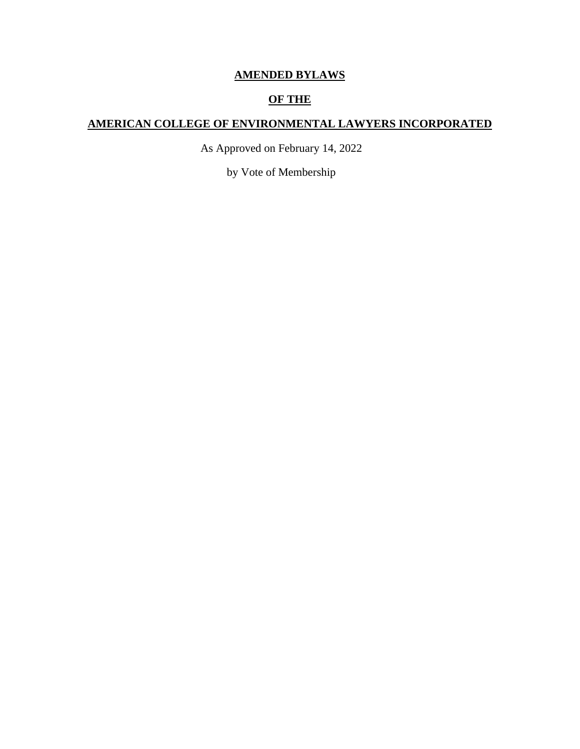# **AMENDED BYLAWS**

## **OF THE**

## **AMERICAN COLLEGE OF ENVIRONMENTAL LAWYERS INCORPORATED**

As Approved on February 14, 2022

by Vote of Membership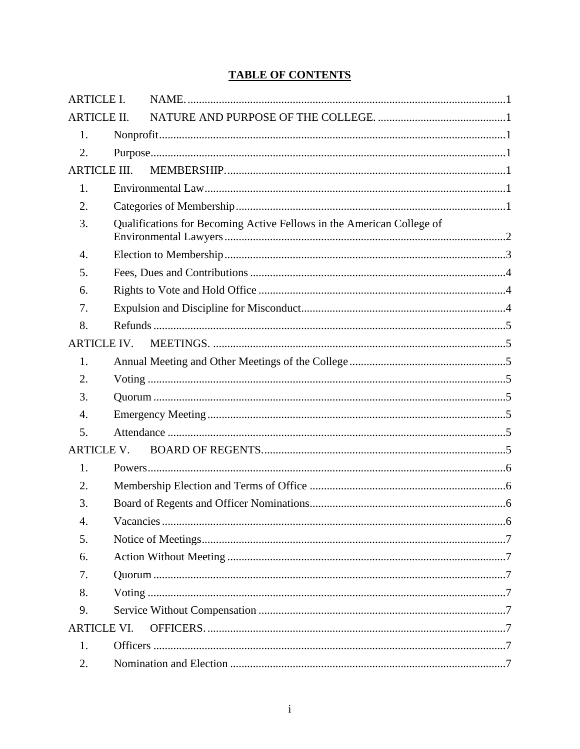# **TABLE OF CONTENTS**

| <b>ARTICLE I.</b>   |  |                                                                       |  |  |
|---------------------|--|-----------------------------------------------------------------------|--|--|
| <b>ARTICLE II.</b>  |  |                                                                       |  |  |
| 1.                  |  |                                                                       |  |  |
| 2.                  |  |                                                                       |  |  |
| <b>ARTICLE III.</b> |  |                                                                       |  |  |
| 1.                  |  |                                                                       |  |  |
| 2.                  |  |                                                                       |  |  |
| 3.                  |  | Qualifications for Becoming Active Fellows in the American College of |  |  |
| 4.                  |  |                                                                       |  |  |
| 5.                  |  |                                                                       |  |  |
| 6.                  |  |                                                                       |  |  |
| 7.                  |  |                                                                       |  |  |
| 8.                  |  |                                                                       |  |  |
| <b>ARTICLE IV.</b>  |  |                                                                       |  |  |
| 1.                  |  |                                                                       |  |  |
| 2.                  |  |                                                                       |  |  |
| 3.                  |  |                                                                       |  |  |
| $\overline{4}$ .    |  |                                                                       |  |  |
| 5.                  |  |                                                                       |  |  |
| <b>ARTICLE V.</b>   |  |                                                                       |  |  |
| 1.                  |  |                                                                       |  |  |
| 2.                  |  |                                                                       |  |  |
| 3.                  |  |                                                                       |  |  |
| 4.                  |  |                                                                       |  |  |
| 5.                  |  |                                                                       |  |  |
| 6.                  |  |                                                                       |  |  |
| 7.                  |  |                                                                       |  |  |
| 8.                  |  |                                                                       |  |  |
| 9.                  |  |                                                                       |  |  |
| <b>ARTICLE VI.</b>  |  |                                                                       |  |  |
| 1.                  |  |                                                                       |  |  |
| 2.                  |  |                                                                       |  |  |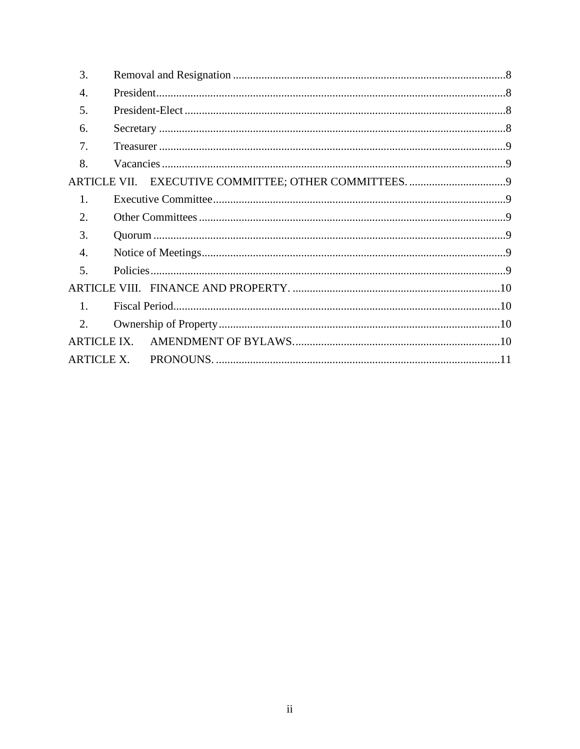| 3.                 |  |  |
|--------------------|--|--|
| 4.                 |  |  |
| .5.                |  |  |
| 6.                 |  |  |
| 7 <sub>1</sub>     |  |  |
| 8.                 |  |  |
|                    |  |  |
| $\mathbf{1}$ .     |  |  |
| $\overline{2}$ .   |  |  |
| 3.                 |  |  |
| 4.                 |  |  |
| 5.                 |  |  |
|                    |  |  |
| $\mathbf{1}$ .     |  |  |
| $\overline{2}$ .   |  |  |
| <b>ARTICLE IX.</b> |  |  |
|                    |  |  |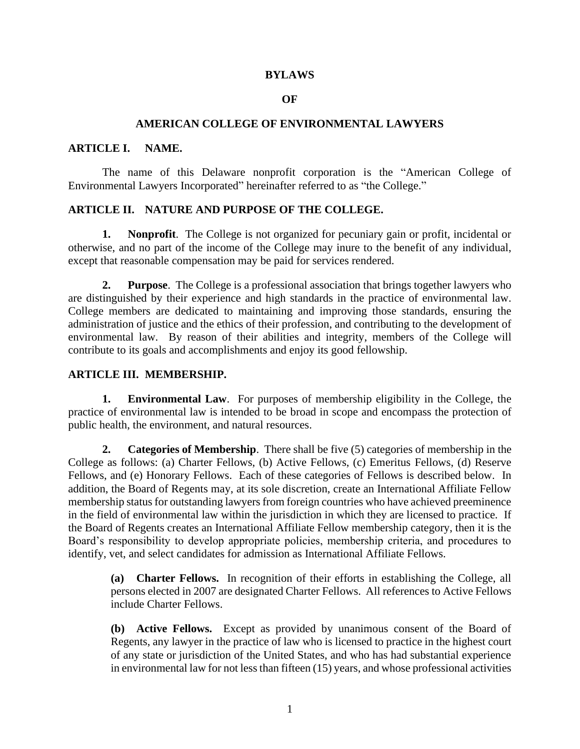#### **BYLAWS**

#### **OF**

#### **AMERICAN COLLEGE OF ENVIRONMENTAL LAWYERS**

#### <span id="page-3-0"></span>**ARTICLE I. NAME.**

The name of this Delaware nonprofit corporation is the "American College of Environmental Lawyers Incorporated" hereinafter referred to as "the College."

### <span id="page-3-1"></span>**ARTICLE II. NATURE AND PURPOSE OF THE COLLEGE.**

<span id="page-3-2"></span>**1. Nonprofit**. The College is not organized for pecuniary gain or profit, incidental or otherwise, and no part of the income of the College may inure to the benefit of any individual, except that reasonable compensation may be paid for services rendered.

<span id="page-3-3"></span>**2. Purpose**. The College is a professional association that brings together lawyers who are distinguished by their experience and high standards in the practice of environmental law. College members are dedicated to maintaining and improving those standards, ensuring the administration of justice and the ethics of their profession, and contributing to the development of environmental law. By reason of their abilities and integrity, members of the College will contribute to its goals and accomplishments and enjoy its good fellowship.

### <span id="page-3-4"></span>**ARTICLE III. MEMBERSHIP.**

<span id="page-3-5"></span>**1. Environmental Law**. For purposes of membership eligibility in the College, the practice of environmental law is intended to be broad in scope and encompass the protection of public health, the environment, and natural resources.

<span id="page-3-6"></span>**2. Categories of Membership**. There shall be five (5) categories of membership in the College as follows: (a) Charter Fellows, (b) Active Fellows, (c) Emeritus Fellows, (d) Reserve Fellows, and (e) Honorary Fellows. Each of these categories of Fellows is described below. In addition, the Board of Regents may, at its sole discretion, create an International Affiliate Fellow membership status for outstanding lawyers from foreign countries who have achieved preeminence in the field of environmental law within the jurisdiction in which they are licensed to practice. If the Board of Regents creates an International Affiliate Fellow membership category, then it is the Board's responsibility to develop appropriate policies, membership criteria, and procedures to identify, vet, and select candidates for admission as International Affiliate Fellows.

**(a) Charter Fellows.** In recognition of their efforts in establishing the College, all persons elected in 2007 are designated Charter Fellows. All references to Active Fellows include Charter Fellows.

**(b) Active Fellows.** Except as provided by unanimous consent of the Board of Regents, any lawyer in the practice of law who is licensed to practice in the highest court of any state or jurisdiction of the United States, and who has had substantial experience in environmental law for not less than fifteen (15) years, and whose professional activities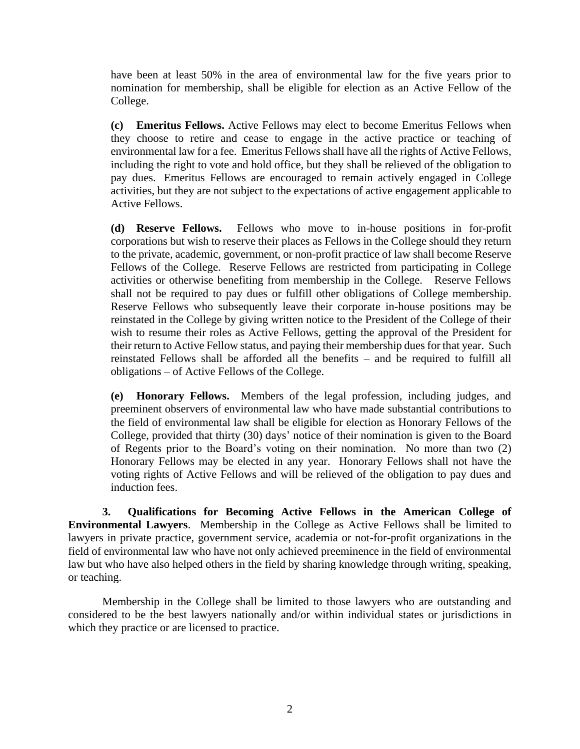have been at least 50% in the area of environmental law for the five years prior to nomination for membership, shall be eligible for election as an Active Fellow of the College.

**(c) Emeritus Fellows.** Active Fellows may elect to become Emeritus Fellows when they choose to retire and cease to engage in the active practice or teaching of environmental law for a fee. Emeritus Fellows shall have all the rights of Active Fellows, including the right to vote and hold office, but they shall be relieved of the obligation to pay dues. Emeritus Fellows are encouraged to remain actively engaged in College activities, but they are not subject to the expectations of active engagement applicable to Active Fellows.

**(d) Reserve Fellows.** Fellows who move to in-house positions in for-profit corporations but wish to reserve their places as Fellows in the College should they return to the private, academic, government, or non-profit practice of law shall become Reserve Fellows of the College. Reserve Fellows are restricted from participating in College activities or otherwise benefiting from membership in the College. Reserve Fellows shall not be required to pay dues or fulfill other obligations of College membership. Reserve Fellows who subsequently leave their corporate in-house positions may be reinstated in the College by giving written notice to the President of the College of their wish to resume their roles as Active Fellows, getting the approval of the President for their return to Active Fellow status, and paying their membership dues for that year. Such reinstated Fellows shall be afforded all the benefits – and be required to fulfill all obligations – of Active Fellows of the College.

**(e) Honorary Fellows.** Members of the legal profession, including judges, and preeminent observers of environmental law who have made substantial contributions to the field of environmental law shall be eligible for election as Honorary Fellows of the College, provided that thirty (30) days' notice of their nomination is given to the Board of Regents prior to the Board's voting on their nomination. No more than two (2) Honorary Fellows may be elected in any year. Honorary Fellows shall not have the voting rights of Active Fellows and will be relieved of the obligation to pay dues and induction fees.

<span id="page-4-0"></span>**3. Qualifications for Becoming Active Fellows in the American College of Environmental Lawyers**. Membership in the College as Active Fellows shall be limited to lawyers in private practice, government service, academia or not-for-profit organizations in the field of environmental law who have not only achieved preeminence in the field of environmental law but who have also helped others in the field by sharing knowledge through writing, speaking, or teaching.

Membership in the College shall be limited to those lawyers who are outstanding and considered to be the best lawyers nationally and/or within individual states or jurisdictions in which they practice or are licensed to practice.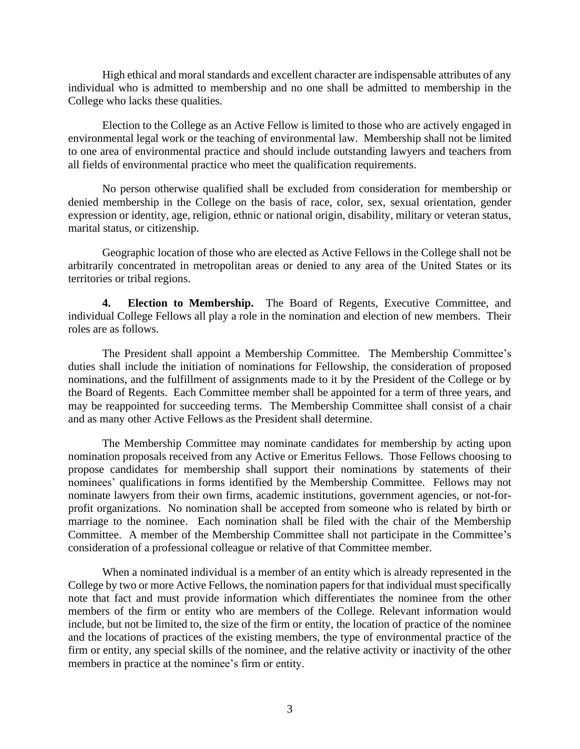High ethical and moral standards and excellent character are indispensable attributes of any individual who is admitted to membership and no one shall be admitted to membership in the College who lacks these qualities.

Election to the College as an Active Fellow is limited to those who are actively engaged in environmental legal work or the teaching of environmental law. Membership shall not be limited to one area of environmental practice and should include outstanding lawyers and teachers from all fields of environmental practice who meet the qualification requirements.

No person otherwise qualified shall be excluded from consideration for membership or denied membership in the College on the basis of race, color, sex, sexual orientation, gender expression or identity, age, religion, ethnic or national origin, disability, military or veteran status, marital status, or citizenship.

Geographic location of those who are elected as Active Fellows in the College shall not be arbitrarily concentrated in metropolitan areas or denied to any area of the United States or its territories or tribal regions.

<span id="page-5-0"></span>**4. Election to Membership.** The Board of Regents, Executive Committee, and individual College Fellows all play a role in the nomination and election of new members. Their roles are as follows.

The President shall appoint a Membership Committee. The Membership Committee's duties shall include the initiation of nominations for Fellowship, the consideration of proposed nominations, and the fulfillment of assignments made to it by the President of the College or by the Board of Regents. Each Committee member shall be appointed for a term of three years, and may be reappointed for succeeding terms. The Membership Committee shall consist of a chair and as many other Active Fellows as the President shall determine.

The Membership Committee may nominate candidates for membership by acting upon nomination proposals received from any Active or Emeritus Fellows. Those Fellows choosing to propose candidates for membership shall support their nominations by statements of their nominees' qualifications in forms identified by the Membership Committee. Fellows may not nominate lawyers from their own firms, academic institutions, government agencies, or not-forprofit organizations. No nomination shall be accepted from someone who is related by birth or marriage to the nominee. Each nomination shall be filed with the chair of the Membership Committee. A member of the Membership Committee shall not participate in the Committee's consideration of a professional colleague or relative of that Committee member.

When a nominated individual is a member of an entity which is already represented in the College by two or more Active Fellows, the nomination papers for that individual must specifically note that fact and must provide information which differentiates the nominee from the other members of the firm or entity who are members of the College. Relevant information would include, but not be limited to, the size of the firm or entity, the location of practice of the nominee and the locations of practices of the existing members, the type of environmental practice of the firm or entity, any special skills of the nominee, and the relative activity or inactivity of the other members in practice at the nominee's firm or entity.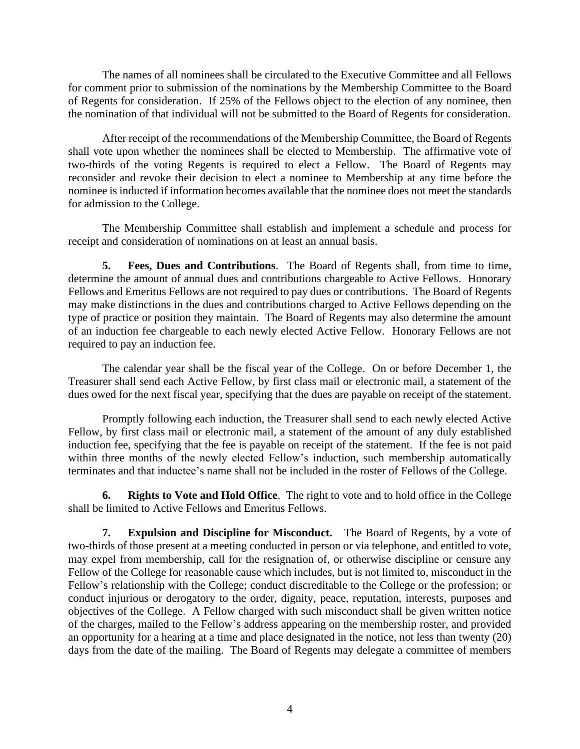The names of all nominees shall be circulated to the Executive Committee and all Fellows for comment prior to submission of the nominations by the Membership Committee to the Board of Regents for consideration. If 25% of the Fellows object to the election of any nominee, then the nomination of that individual will not be submitted to the Board of Regents for consideration.

After receipt of the recommendations of the Membership Committee, the Board of Regents shall vote upon whether the nominees shall be elected to Membership. The affirmative vote of two-thirds of the voting Regents is required to elect a Fellow. The Board of Regents may reconsider and revoke their decision to elect a nominee to Membership at any time before the nominee is inducted if information becomes available that the nominee does not meet the standards for admission to the College.

The Membership Committee shall establish and implement a schedule and process for receipt and consideration of nominations on at least an annual basis.

<span id="page-6-0"></span>**5. Fees, Dues and Contributions**. The Board of Regents shall, from time to time, determine the amount of annual dues and contributions chargeable to Active Fellows. Honorary Fellows and Emeritus Fellows are not required to pay dues or contributions. The Board of Regents may make distinctions in the dues and contributions charged to Active Fellows depending on the type of practice or position they maintain. The Board of Regents may also determine the amount of an induction fee chargeable to each newly elected Active Fellow. Honorary Fellows are not required to pay an induction fee.

The calendar year shall be the fiscal year of the College. On or before December 1, the Treasurer shall send each Active Fellow, by first class mail or electronic mail, a statement of the dues owed for the next fiscal year, specifying that the dues are payable on receipt of the statement.

Promptly following each induction, the Treasurer shall send to each newly elected Active Fellow, by first class mail or electronic mail, a statement of the amount of any duly established induction fee, specifying that the fee is payable on receipt of the statement. If the fee is not paid within three months of the newly elected Fellow's induction, such membership automatically terminates and that inductee's name shall not be included in the roster of Fellows of the College.

<span id="page-6-1"></span>**6. Rights to Vote and Hold Office**. The right to vote and to hold office in the College shall be limited to Active Fellows and Emeritus Fellows.

<span id="page-6-2"></span>**7. Expulsion and Discipline for Misconduct.** The Board of Regents, by a vote of two-thirds of those present at a meeting conducted in person or via telephone, and entitled to vote, may expel from membership, call for the resignation of, or otherwise discipline or censure any Fellow of the College for reasonable cause which includes, but is not limited to, misconduct in the Fellow's relationship with the College; conduct discreditable to the College or the profession; or conduct injurious or derogatory to the order, dignity, peace, reputation, interests, purposes and objectives of the College. A Fellow charged with such misconduct shall be given written notice of the charges, mailed to the Fellow's address appearing on the membership roster, and provided an opportunity for a hearing at a time and place designated in the notice, not less than twenty (20) days from the date of the mailing. The Board of Regents may delegate a committee of members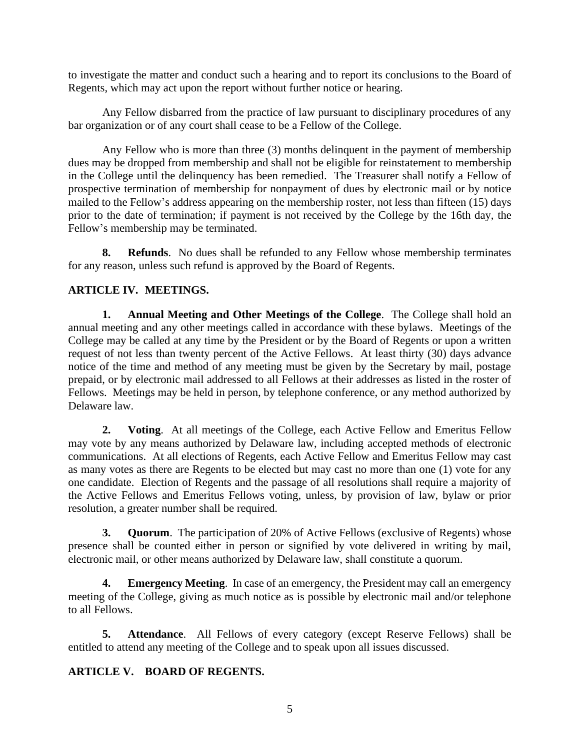to investigate the matter and conduct such a hearing and to report its conclusions to the Board of Regents, which may act upon the report without further notice or hearing.

Any Fellow disbarred from the practice of law pursuant to disciplinary procedures of any bar organization or of any court shall cease to be a Fellow of the College.

Any Fellow who is more than three (3) months delinquent in the payment of membership dues may be dropped from membership and shall not be eligible for reinstatement to membership in the College until the delinquency has been remedied. The Treasurer shall notify a Fellow of prospective termination of membership for nonpayment of dues by electronic mail or by notice mailed to the Fellow's address appearing on the membership roster, not less than fifteen (15) days prior to the date of termination; if payment is not received by the College by the 16th day, the Fellow's membership may be terminated.

<span id="page-7-0"></span>**8. Refunds**. No dues shall be refunded to any Fellow whose membership terminates for any reason, unless such refund is approved by the Board of Regents.

## <span id="page-7-1"></span>**ARTICLE IV. MEETINGS.**

<span id="page-7-2"></span>**1. Annual Meeting and Other Meetings of the College**. The College shall hold an annual meeting and any other meetings called in accordance with these bylaws. Meetings of the College may be called at any time by the President or by the Board of Regents or upon a written request of not less than twenty percent of the Active Fellows. At least thirty (30) days advance notice of the time and method of any meeting must be given by the Secretary by mail, postage prepaid, or by electronic mail addressed to all Fellows at their addresses as listed in the roster of Fellows. Meetings may be held in person, by telephone conference, or any method authorized by Delaware law.

<span id="page-7-3"></span>**2. Voting**. At all meetings of the College, each Active Fellow and Emeritus Fellow may vote by any means authorized by Delaware law, including accepted methods of electronic communications. At all elections of Regents, each Active Fellow and Emeritus Fellow may cast as many votes as there are Regents to be elected but may cast no more than one (1) vote for any one candidate. Election of Regents and the passage of all resolutions shall require a majority of the Active Fellows and Emeritus Fellows voting, unless, by provision of law, bylaw or prior resolution, a greater number shall be required.

<span id="page-7-4"></span>**3. Quorum**. The participation of 20% of Active Fellows (exclusive of Regents) whose presence shall be counted either in person or signified by vote delivered in writing by mail, electronic mail, or other means authorized by Delaware law, shall constitute a quorum.

<span id="page-7-5"></span>**4. Emergency Meeting**. In case of an emergency, the President may call an emergency meeting of the College, giving as much notice as is possible by electronic mail and/or telephone to all Fellows.

<span id="page-7-6"></span>**5. Attendance**. All Fellows of every category (except Reserve Fellows) shall be entitled to attend any meeting of the College and to speak upon all issues discussed.

### <span id="page-7-7"></span>**ARTICLE V. BOARD OF REGENTS.**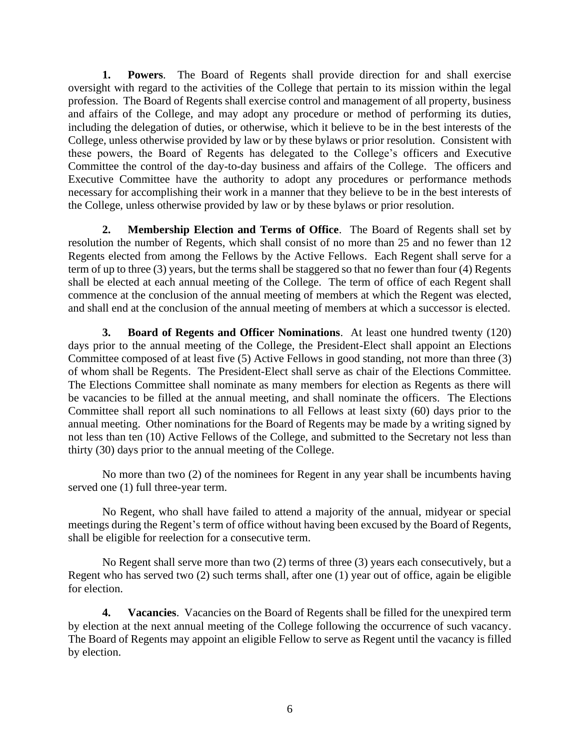<span id="page-8-0"></span>**1. Powers**. The Board of Regents shall provide direction for and shall exercise oversight with regard to the activities of the College that pertain to its mission within the legal profession. The Board of Regents shall exercise control and management of all property, business and affairs of the College, and may adopt any procedure or method of performing its duties, including the delegation of duties, or otherwise, which it believe to be in the best interests of the College, unless otherwise provided by law or by these bylaws or prior resolution. Consistent with these powers, the Board of Regents has delegated to the College's officers and Executive Committee the control of the day-to-day business and affairs of the College. The officers and Executive Committee have the authority to adopt any procedures or performance methods necessary for accomplishing their work in a manner that they believe to be in the best interests of the College, unless otherwise provided by law or by these bylaws or prior resolution.

<span id="page-8-1"></span>**2. Membership Election and Terms of Office**. The Board of Regents shall set by resolution the number of Regents, which shall consist of no more than 25 and no fewer than 12 Regents elected from among the Fellows by the Active Fellows. Each Regent shall serve for a term of up to three (3) years, but the terms shall be staggered so that no fewer than four (4) Regents shall be elected at each annual meeting of the College. The term of office of each Regent shall commence at the conclusion of the annual meeting of members at which the Regent was elected, and shall end at the conclusion of the annual meeting of members at which a successor is elected.

<span id="page-8-2"></span>**3. Board of Regents and Officer Nominations**. At least one hundred twenty (120) days prior to the annual meeting of the College, the President-Elect shall appoint an Elections Committee composed of at least five (5) Active Fellows in good standing, not more than three (3) of whom shall be Regents. The President-Elect shall serve as chair of the Elections Committee. The Elections Committee shall nominate as many members for election as Regents as there will be vacancies to be filled at the annual meeting, and shall nominate the officers. The Elections Committee shall report all such nominations to all Fellows at least sixty (60) days prior to the annual meeting. Other nominations for the Board of Regents may be made by a writing signed by not less than ten (10) Active Fellows of the College, and submitted to the Secretary not less than thirty (30) days prior to the annual meeting of the College.

No more than two (2) of the nominees for Regent in any year shall be incumbents having served one (1) full three-year term.

No Regent, who shall have failed to attend a majority of the annual, midyear or special meetings during the Regent's term of office without having been excused by the Board of Regents, shall be eligible for reelection for a consecutive term.

No Regent shall serve more than two (2) terms of three (3) years each consecutively, but a Regent who has served two (2) such terms shall, after one (1) year out of office, again be eligible for election.

<span id="page-8-3"></span>**4. Vacancies**. Vacancies on the Board of Regents shall be filled for the unexpired term by election at the next annual meeting of the College following the occurrence of such vacancy. The Board of Regents may appoint an eligible Fellow to serve as Regent until the vacancy is filled by election.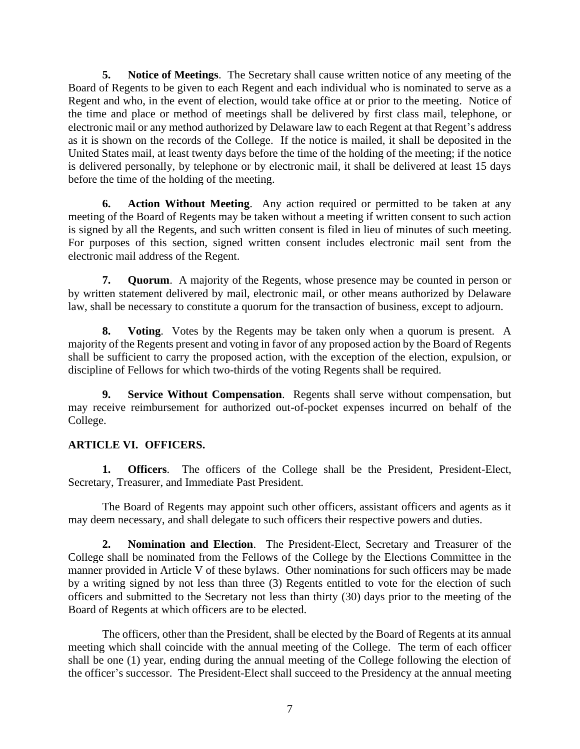<span id="page-9-0"></span>**5. Notice of Meetings**. The Secretary shall cause written notice of any meeting of the Board of Regents to be given to each Regent and each individual who is nominated to serve as a Regent and who, in the event of election, would take office at or prior to the meeting. Notice of the time and place or method of meetings shall be delivered by first class mail, telephone, or electronic mail or any method authorized by Delaware law to each Regent at that Regent's address as it is shown on the records of the College. If the notice is mailed, it shall be deposited in the United States mail, at least twenty days before the time of the holding of the meeting; if the notice is delivered personally, by telephone or by electronic mail, it shall be delivered at least 15 days before the time of the holding of the meeting.

<span id="page-9-1"></span>**6. Action Without Meeting**. Any action required or permitted to be taken at any meeting of the Board of Regents may be taken without a meeting if written consent to such action is signed by all the Regents, and such written consent is filed in lieu of minutes of such meeting. For purposes of this section, signed written consent includes electronic mail sent from the electronic mail address of the Regent.

<span id="page-9-2"></span>**7. Quorum**. A majority of the Regents, whose presence may be counted in person or by written statement delivered by mail, electronic mail, or other means authorized by Delaware law, shall be necessary to constitute a quorum for the transaction of business, except to adjourn.

<span id="page-9-3"></span>**8. Voting**. Votes by the Regents may be taken only when a quorum is present. A majority of the Regents present and voting in favor of any proposed action by the Board of Regents shall be sufficient to carry the proposed action, with the exception of the election, expulsion, or discipline of Fellows for which two-thirds of the voting Regents shall be required.

<span id="page-9-4"></span>**9. Service Without Compensation**. Regents shall serve without compensation, but may receive reimbursement for authorized out-of-pocket expenses incurred on behalf of the College.

## <span id="page-9-5"></span>**ARTICLE VI. OFFICERS.**

<span id="page-9-6"></span>**1. Officers**. The officers of the College shall be the President, President-Elect, Secretary, Treasurer, and Immediate Past President.

The Board of Regents may appoint such other officers, assistant officers and agents as it may deem necessary, and shall delegate to such officers their respective powers and duties.

<span id="page-9-7"></span>**2. Nomination and Election**. The President-Elect, Secretary and Treasurer of the College shall be nominated from the Fellows of the College by the Elections Committee in the manner provided in Article V of these bylaws. Other nominations for such officers may be made by a writing signed by not less than three (3) Regents entitled to vote for the election of such officers and submitted to the Secretary not less than thirty (30) days prior to the meeting of the Board of Regents at which officers are to be elected.

The officers, other than the President, shall be elected by the Board of Regents at its annual meeting which shall coincide with the annual meeting of the College. The term of each officer shall be one (1) year, ending during the annual meeting of the College following the election of the officer's successor. The President-Elect shall succeed to the Presidency at the annual meeting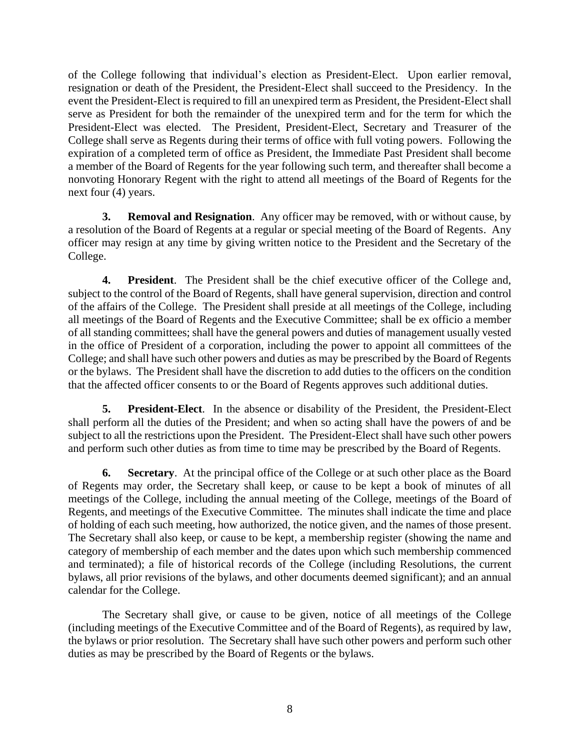of the College following that individual's election as President-Elect. Upon earlier removal, resignation or death of the President, the President-Elect shall succeed to the Presidency. In the event the President-Elect is required to fill an unexpired term as President, the President-Elect shall serve as President for both the remainder of the unexpired term and for the term for which the President-Elect was elected. The President, President-Elect, Secretary and Treasurer of the College shall serve as Regents during their terms of office with full voting powers. Following the expiration of a completed term of office as President, the Immediate Past President shall become a member of the Board of Regents for the year following such term, and thereafter shall become a nonvoting Honorary Regent with the right to attend all meetings of the Board of Regents for the next four (4) years.

<span id="page-10-0"></span>**3. Removal and Resignation**. Any officer may be removed, with or without cause, by a resolution of the Board of Regents at a regular or special meeting of the Board of Regents. Any officer may resign at any time by giving written notice to the President and the Secretary of the College.

<span id="page-10-1"></span>**4. President**. The President shall be the chief executive officer of the College and, subject to the control of the Board of Regents, shall have general supervision, direction and control of the affairs of the College. The President shall preside at all meetings of the College, including all meetings of the Board of Regents and the Executive Committee; shall be ex officio a member of all standing committees; shall have the general powers and duties of management usually vested in the office of President of a corporation, including the power to appoint all committees of the College; and shall have such other powers and duties as may be prescribed by the Board of Regents or the bylaws. The President shall have the discretion to add duties to the officers on the condition that the affected officer consents to or the Board of Regents approves such additional duties.

<span id="page-10-2"></span>**5. President-Elect**. In the absence or disability of the President, the President-Elect shall perform all the duties of the President; and when so acting shall have the powers of and be subject to all the restrictions upon the President. The President-Elect shall have such other powers and perform such other duties as from time to time may be prescribed by the Board of Regents.

<span id="page-10-3"></span>**6. Secretary**. At the principal office of the College or at such other place as the Board of Regents may order, the Secretary shall keep, or cause to be kept a book of minutes of all meetings of the College, including the annual meeting of the College, meetings of the Board of Regents, and meetings of the Executive Committee. The minutes shall indicate the time and place of holding of each such meeting, how authorized, the notice given, and the names of those present. The Secretary shall also keep, or cause to be kept, a membership register (showing the name and category of membership of each member and the dates upon which such membership commenced and terminated); a file of historical records of the College (including Resolutions, the current bylaws, all prior revisions of the bylaws, and other documents deemed significant); and an annual calendar for the College.

The Secretary shall give, or cause to be given, notice of all meetings of the College (including meetings of the Executive Committee and of the Board of Regents), as required by law, the bylaws or prior resolution. The Secretary shall have such other powers and perform such other duties as may be prescribed by the Board of Regents or the bylaws.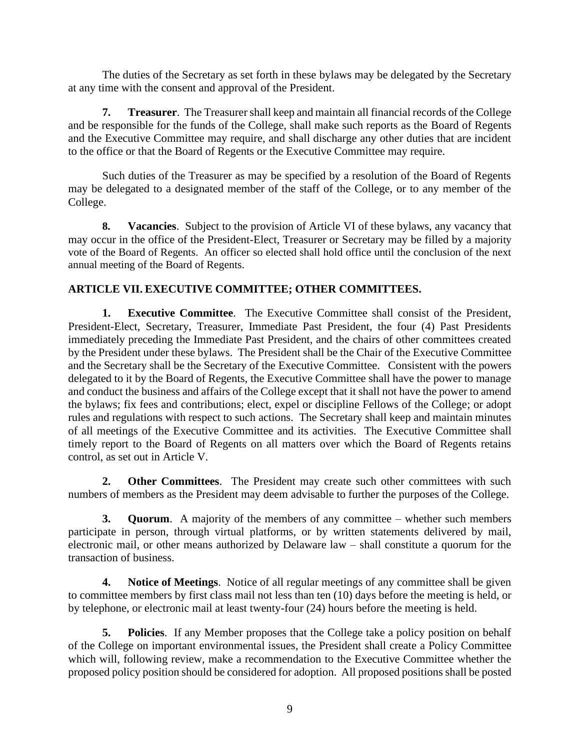The duties of the Secretary as set forth in these bylaws may be delegated by the Secretary at any time with the consent and approval of the President.

<span id="page-11-0"></span>**7. Treasurer**. The Treasurer shall keep and maintain all financial records of the College and be responsible for the funds of the College, shall make such reports as the Board of Regents and the Executive Committee may require, and shall discharge any other duties that are incident to the office or that the Board of Regents or the Executive Committee may require.

Such duties of the Treasurer as may be specified by a resolution of the Board of Regents may be delegated to a designated member of the staff of the College, or to any member of the College.

<span id="page-11-1"></span>**8. Vacancies**. Subject to the provision of Article VI of these bylaws, any vacancy that may occur in the office of the President-Elect, Treasurer or Secretary may be filled by a majority vote of the Board of Regents. An officer so elected shall hold office until the conclusion of the next annual meeting of the Board of Regents.

## <span id="page-11-2"></span>**ARTICLE VII. EXECUTIVE COMMITTEE; OTHER COMMITTEES.**

<span id="page-11-3"></span>**1. Executive Committee**. The Executive Committee shall consist of the President, President-Elect, Secretary, Treasurer, Immediate Past President, the four (4) Past Presidents immediately preceding the Immediate Past President, and the chairs of other committees created by the President under these bylaws. The President shall be the Chair of the Executive Committee and the Secretary shall be the Secretary of the Executive Committee. Consistent with the powers delegated to it by the Board of Regents, the Executive Committee shall have the power to manage and conduct the business and affairs of the College except that it shall not have the power to amend the bylaws; fix fees and contributions; elect, expel or discipline Fellows of the College; or adopt rules and regulations with respect to such actions. The Secretary shall keep and maintain minutes of all meetings of the Executive Committee and its activities. The Executive Committee shall timely report to the Board of Regents on all matters over which the Board of Regents retains control, as set out in Article V.

<span id="page-11-4"></span>**2. Other Committees**. The President may create such other committees with such numbers of members as the President may deem advisable to further the purposes of the College.

<span id="page-11-5"></span>**3. Quorum**. A majority of the members of any committee – whether such members participate in person, through virtual platforms, or by written statements delivered by mail, electronic mail, or other means authorized by Delaware law – shall constitute a quorum for the transaction of business.

<span id="page-11-6"></span>**4. Notice of Meetings**. Notice of all regular meetings of any committee shall be given to committee members by first class mail not less than ten (10) days before the meeting is held, or by telephone, or electronic mail at least twenty-four (24) hours before the meeting is held.

<span id="page-11-7"></span>**5. Policies**. If any Member proposes that the College take a policy position on behalf of the College on important environmental issues, the President shall create a Policy Committee which will, following review, make a recommendation to the Executive Committee whether the proposed policy position should be considered for adoption. All proposed positions shall be posted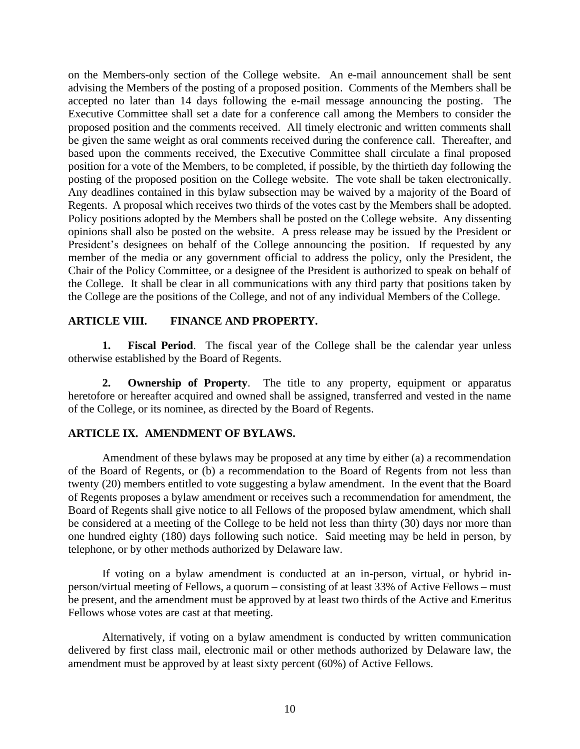on the Members-only section of the College website. An e-mail announcement shall be sent advising the Members of the posting of a proposed position. Comments of the Members shall be accepted no later than 14 days following the e-mail message announcing the posting. The Executive Committee shall set a date for a conference call among the Members to consider the proposed position and the comments received. All timely electronic and written comments shall be given the same weight as oral comments received during the conference call. Thereafter, and based upon the comments received, the Executive Committee shall circulate a final proposed position for a vote of the Members, to be completed, if possible, by the thirtieth day following the posting of the proposed position on the College website. The vote shall be taken electronically. Any deadlines contained in this bylaw subsection may be waived by a majority of the Board of Regents. A proposal which receives two thirds of the votes cast by the Members shall be adopted. Policy positions adopted by the Members shall be posted on the College website. Any dissenting opinions shall also be posted on the website. A press release may be issued by the President or President's designees on behalf of the College announcing the position. If requested by any member of the media or any government official to address the policy, only the President, the Chair of the Policy Committee, or a designee of the President is authorized to speak on behalf of the College. It shall be clear in all communications with any third party that positions taken by the College are the positions of the College, and not of any individual Members of the College.

### <span id="page-12-0"></span>**ARTICLE VIII. FINANCE AND PROPERTY.**

<span id="page-12-1"></span>**1. Fiscal Period**. The fiscal year of the College shall be the calendar year unless otherwise established by the Board of Regents.

<span id="page-12-2"></span>**2. Ownership of Property**. The title to any property, equipment or apparatus heretofore or hereafter acquired and owned shall be assigned, transferred and vested in the name of the College, or its nominee, as directed by the Board of Regents.

### <span id="page-12-3"></span>**ARTICLE IX. AMENDMENT OF BYLAWS.**

Amendment of these bylaws may be proposed at any time by either (a) a recommendation of the Board of Regents, or (b) a recommendation to the Board of Regents from not less than twenty (20) members entitled to vote suggesting a bylaw amendment. In the event that the Board of Regents proposes a bylaw amendment or receives such a recommendation for amendment, the Board of Regents shall give notice to all Fellows of the proposed bylaw amendment, which shall be considered at a meeting of the College to be held not less than thirty (30) days nor more than one hundred eighty (180) days following such notice. Said meeting may be held in person, by telephone, or by other methods authorized by Delaware law.

If voting on a bylaw amendment is conducted at an in-person, virtual, or hybrid inperson/virtual meeting of Fellows, a quorum – consisting of at least 33% of Active Fellows – must be present, and the amendment must be approved by at least two thirds of the Active and Emeritus Fellows whose votes are cast at that meeting.

Alternatively, if voting on a bylaw amendment is conducted by written communication delivered by first class mail, electronic mail or other methods authorized by Delaware law, the amendment must be approved by at least sixty percent (60%) of Active Fellows.